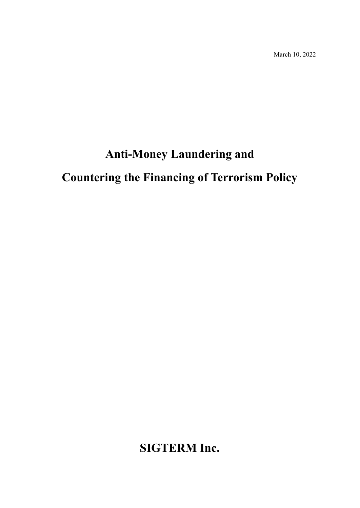March 10, 2022

# **Anti-Money Laundering and**

# **Countering the Financing of Terrorism Policy**

**SIGTERM Inc.**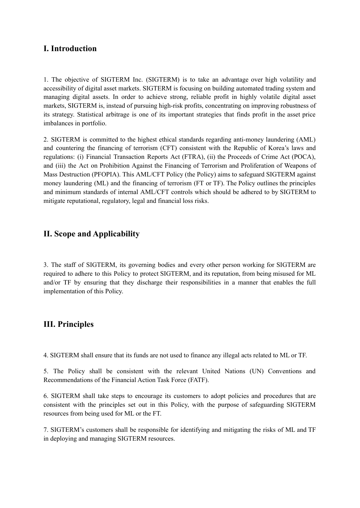### **I. Introduction**

1. The objective of SIGTERM Inc. (SIGTERM) is to take an advantage over high volatility and accessibility of digital asset markets. SIGTERM is focusing on building automated trading system and managing digital assets. In order to achieve strong, reliable profit in highly volatile digital asset markets, SIGTERM is, instead of pursuing high-risk profits, concentrating on improving robustness of its strategy. Statistical arbitrage is one of its important strategies that finds profit in the asset price imbalances in portfolio.

2. SIGTERM is committed to the highest ethical standards regarding anti-money laundering (AML) and countering the financing of terrorism (CFT) consistent with the Republic of Korea's laws and regulations: (i) Financial Transaction Reports Act (FTRA), (ii) the Proceeds of Crime Act (POCA), and (iii) the Act on Prohibition Against the Financing of Terrorism and Proliferation of Weapons of Mass Destruction (PFOPIA). This AML/CFT Policy (the Policy) aims to safeguard SIGTERM against money laundering (ML) and the financing of terrorism (FT or TF). The Policy outlines the principles and minimum standards of internal AML/CFT controls which should be adhered to by SIGTERM to mitigate reputational, regulatory, legal and financial loss risks.

### **II. Scope and Applicability**

3. The staff of SIGTERM, its governing bodies and every other person working for SIGTERM are required to adhere to this Policy to protect SIGTERM, and its reputation, from being misused for ML and/or TF by ensuring that they discharge their responsibilities in a manner that enables the full implementation of this Policy.

#### **III. Principles**

4. SIGTERM shall ensure that its funds are not used to finance any illegal acts related to ML or TF.

5. The Policy shall be consistent with the relevant United Nations (UN) Conventions and Recommendations of the Financial Action Task Force (FATF).

6. SIGTERM shall take steps to encourage its customers to adopt policies and procedures that are consistent with the principles set out in this Policy, with the purpose of safeguarding SIGTERM resources from being used for ML or the FT.

7. SIGTERM's customers shall be responsible for identifying and mitigating the risks of ML and TF in deploying and managing SIGTERM resources.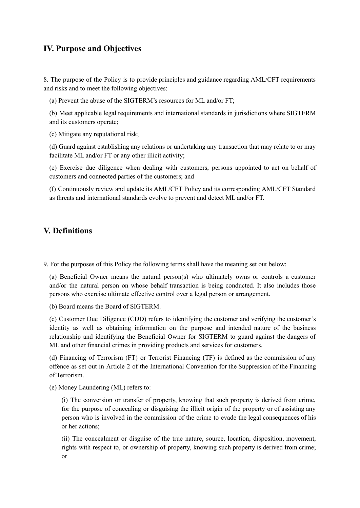## **IV. Purpose and Objectives**

8. The purpose of the Policy is to provide principles and guidance regarding AML/CFT requirements and risks and to meet the following objectives:

(a) Prevent the abuse of the SIGTERM's resources for ML and/or FT;

(b) Meet applicable legal requirements and international standards in jurisdictions where SIGTERM and its customers operate;

(c) Mitigate any reputational risk;

(d) Guard against establishing any relations or undertaking any transaction that may relate to or may facilitate ML and/or FT or any other illicit activity;

(e) Exercise due diligence when dealing with customers, persons appointed to act on behalf of customers and connected parties of the customers; and

(f) Continuously review and update its AML/CFT Policy and its corresponding AML/CFT Standard as threats and international standards evolve to prevent and detect ML and/or FT.

#### **V. Definitions**

9. For the purposes of this Policy the following terms shall have the meaning set out below:

(a) Beneficial Owner means the natural person(s) who ultimately owns or controls a customer and/or the natural person on whose behalf transaction is being conducted. It also includes those persons who exercise ultimate effective control over a legal person or arrangement.

(b) Board means the Board of SIGTERM.

(c) Customer Due Diligence (CDD) refers to identifying the customer and verifying the customer's identity as well as obtaining information on the purpose and intended nature of the business relationship and identifying the Beneficial Owner for SIGTERM to guard against the dangers of ML and other financial crimes in providing products and services for customers.

(d) Financing of Terrorism (FT) or Terrorist Financing (TF) is defined as the commission of any offence as set out in Article 2 of the International Convention for the Suppression of the Financing of Terrorism.

(e) Money Laundering (ML) refers to:

(i) The conversion or transfer of property, knowing that such property is derived from crime, for the purpose of concealing or disguising the illicit origin of the property or of assisting any person who is involved in the commission of the crime to evade the legal consequences of his or her actions;

(ii) The concealment or disguise of the true nature, source, location, disposition, movement, rights with respect to, or ownership of property, knowing such property is derived from crime; or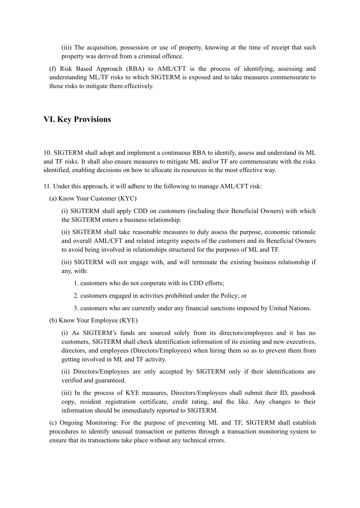(iii) The acquisition, possession or use of property, knowing at the time of receipt that such property was derived from a criminal offence.

(f) Risk Based Approach (RBA) to AML/CFT is the process of identifying, assessing and understanding ML/TF risks to which SIGTERM is exposed and to take measures commensurate to those risks to mitigate them effectively.

#### **VI. Key Provisions**

10. SIGTERM shall adopt and implement a continuous RBA to identify, assess and understand its ML and TF risks. It shall also ensure measures to mitigate ML and/or TF are commensurate with the risks identified, enabling decisions on how to allocate its resources in the most effective way.

11. Under this approach, it will adhere to the following to manage AML/CFT risk:

(a) Know Your Customer (KYC)

(i) SIGTERM shall apply CDD on customers (including their Beneficial Owners) with which the SIGTERM enters a business relationship.

(ii) SIGTERM shall take reasonable measures to duly assess the purpose, economic rationale and overall AML/CFT and related integrity aspects of the customers and its Beneficial Owners to avoid being involved in relationships structured for the purposes of ML and TF.

(iii) SIGTERM will not engage with, and will terminate the existing business relationship if any, with:

1. customers who do not cooperate with its CDD efforts;

2. customers engaged in activities prohibited under the Policy; or

3. customers who are currently under any financial sanctions imposed by United Nations.

(b) Know Your Employee (KYE)

(i) As SIGTERM's funds are sourced solely from its directors/employees and it has no customers, SIGTERM shall check identification information of its existing and new executives, directors, and employees (Directors/Employees) when hiring them so as to prevent them from getting involved in ML and TF activity.

(ii) Directors/Employees are only accepted by SIGTERM only if their identifications are verified and guaranteed.

(iii) In the process of KYE measures, Directors/Employees shall submit their ID, passbook copy, resident registration certificate, credit rating, and the like. Any changes to their information should be immediately reported to SIGTERM.

(c) Ongoing Monitoring: For the purpose of preventing ML and TF, SIGTERM shall establish procedures to identify unusual transaction or patterns through a transaction monitoring system to ensure that its transactions take place without any technical errors.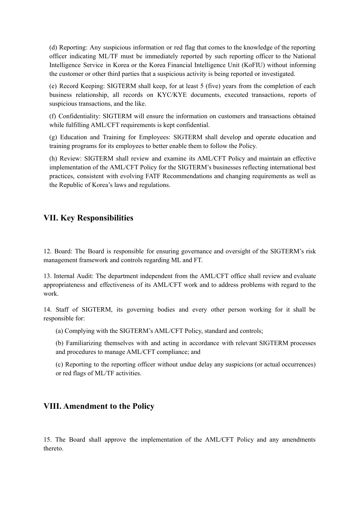(d) Reporting: Any suspicious information or red flag that comes to the knowledge of the reporting officer indicating ML/TF must be immediately reported by such reporting officer to the National Intelligence Service in Korea or the Korea Financial Intelligence Unit (KoFIU) without informing the customer or other third parties that a suspicious activity is being reported or investigated.

(e) Record Keeping: SIGTERM shall keep, for at least 5 (five) years from the completion of each business relationship, all records on KYC/KYE documents, executed transactions, reports of suspicious transactions, and the like.

(f) Confidentiality: SIGTERM will ensure the information on customers and transactions obtained while fulfilling AML/CFT requirements is kept confidential.

(g) Education and Training for Employees: SIGTERM shall develop and operate education and training programs for its employees to better enable them to follow the Policy.

(h) Review: SIGTERM shall review and examine its AML/CFT Policy and maintain an effective implementation of the AML/CFT Policy for the SIGTERM's businesses reflecting international best practices, consistent with evolving FATF Recommendations and changing requirements as well as the Republic of Korea's laws and regulations.

#### **VII. Key Responsibilities**

12. Board: The Board is responsible for ensuring governance and oversight of the SIGTERM's risk management framework and controls regarding ML and FT.

13. Internal Audit: The department independent from the AML/CFT office shall review and evaluate appropriateness and effectiveness of its AML/CFT work and to address problems with regard to the work.

14. Staff of SIGTERM, its governing bodies and every other person working for it shall be responsible for:

(a) Complying with the SIGTERM's AML/CFT Policy, standard and controls;

(b) Familiarizing themselves with and acting in accordance with relevant SIGTERM processes and procedures to manage AML/CFT compliance; and

(c) Reporting to the reporting officer without undue delay any suspicions (or actual occurrences) or red flags of ML/TF activities.

#### **VIII. Amendment to the Policy**

15. The Board shall approve the implementation of the AML/CFT Policy and any amendments thereto.